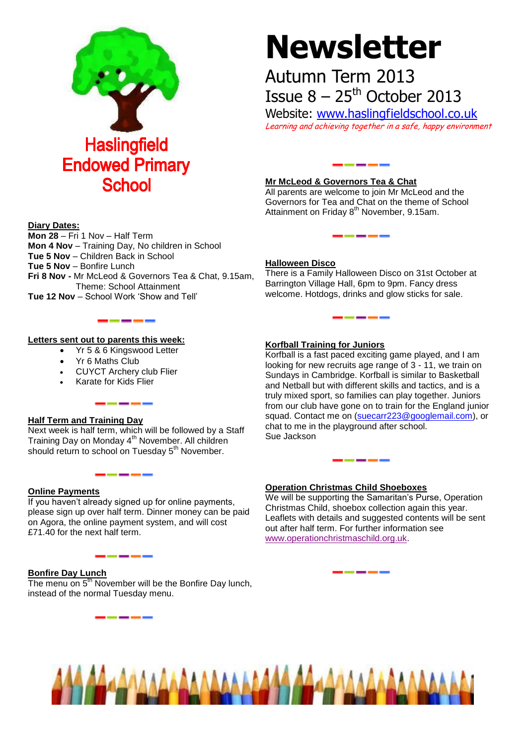

# **Newsletter**

# Autumn Term 2013 Issue  $8 - 25$ <sup>th</sup> October 2013

Website: [www.haslingfieldschool.co.uk](http://www.haslingfieldschool.co.uk/) Learning and achieving together in a safe, happy environment

# **Mr McLeod & Governors Tea & Chat**

All parents are welcome to join Mr McLeod and the Governors for Tea and Chat on the theme of School Attainment on Friday 8<sup>th</sup> November, 9.15am.

#### **Diary Dates:**

**Mon 28** – Fri 1 Nov – Half Term **Mon 4 Nov** – Training Day, No children in School **Tue 5 Nov** – Children Back in School **Tue 5 Nov** – Bonfire Lunch **Fri 8 Nov -** Mr McLeod & Governors Tea & Chat, 9.15am, Theme: School Attainment **Tue 12 Nov** – School Work 'Show and Tell'

#### **Letters sent out to parents this week:**

Yr 5 & 6 Kingswood Letter

 $- - -$ 

------

- Yr 6 Maths Club
- CUYCT Archery club Flier
- Karate for Kids Flier

# **Half Term and Training Day**

Next week is half term, which will be followed by a Staff Training Day on Monday 4<sup>th</sup> November. All children should return to school on Tuesday 5<sup>th</sup> November.

#### **Online Payments**

If you haven't already signed up for online payments, please sign up over half term. Dinner money can be paid on Agora, the online payment system, and will cost £71.40 for the next half term.

#### **Bonfire Day Lunch**

The menu on  $5<sup>th</sup>$  November will be the Bonfire Day lunch, instead of the normal Tuesday menu.

#### **Halloween Disco**

There is a Family Halloween Disco on 31st October at Barrington Village Hall, 6pm to 9pm. Fancy dress welcome. Hotdogs, drinks and glow sticks for sale.

## **Korfball Training for Juniors**

Korfball is a fast paced exciting game played, and I am looking for new recruits age range of 3 - 11, we train on Sundays in Cambridge. Korfball is similar to Basketball and Netball but with different skills and tactics, and is a truly mixed sport, so families can play together. Juniors from our club have gone on to train for the England junior squad. Contact me on [\(suecarr223@googlemail.com\)](mailto:suecarr223@googlemail.com), or chat to me in the playground after school. Sue Jackson

# **Operation Christmas Child Shoeboxes**

We will be supporting the Samaritan's Purse, Operation Christmas Child, shoebox collection again this year. Leaflets with details and suggested contents will be sent out after half term. For further information see [www.operationchristmaschild.org.uk.](http://www.operationchristmaschild.org.uk/)